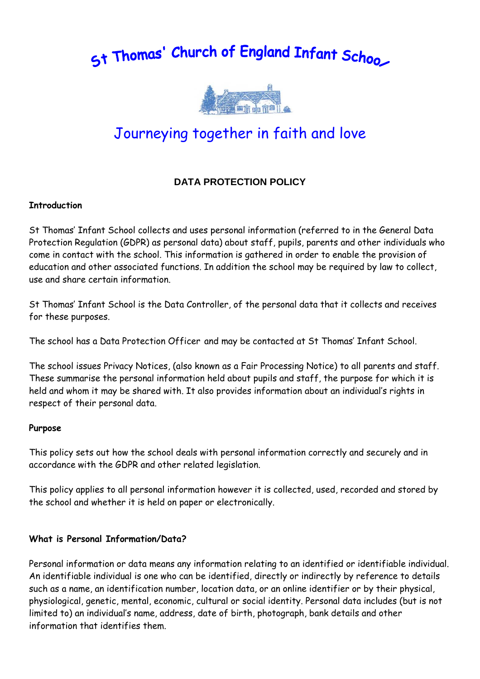5t Thomas' Church of England Infant Schoo



# Journeying together in faith and love

# **DATA PROTECTION POLICY**

#### **Introduction**

St Thomas' Infant School collects and uses personal information (referred to in the General Data Protection Regulation (GDPR) as personal data) about staff, pupils, parents and other individuals who come in contact with the school. This information is gathered in order to enable the provision of education and other associated functions. In addition the school may be required by law to collect, use and share certain information.

St Thomas' Infant School is the Data Controller, of the personal data that it collects and receives for these purposes.

The school has a Data Protection Officer and may be contacted at St Thomas' Infant School.

The school issues Privacy Notices, (also known as a Fair Processing Notice) to all parents and staff. These summarise the personal information held about pupils and staff, the purpose for which it is held and whom it may be shared with. It also provides information about an individual's rights in respect of their personal data.

#### **Purpose**

This policy sets out how the school deals with personal information correctly and securely and in accordance with the GDPR and other related legislation.

This policy applies to all personal information however it is collected, used, recorded and stored by the school and whether it is held on paper or electronically.

#### **What is Personal Information/Data?**

Personal information or data means any information relating to an identified or identifiable individual. An identifiable individual is one who can be identified, directly or indirectly by reference to details such as a name, an identification number, location data, or an online identifier or by their physical, physiological, genetic, mental, economic, cultural or social identity. Personal data includes (but is not limited to) an individual's name, address, date of birth, photograph, bank details and other information that identifies them.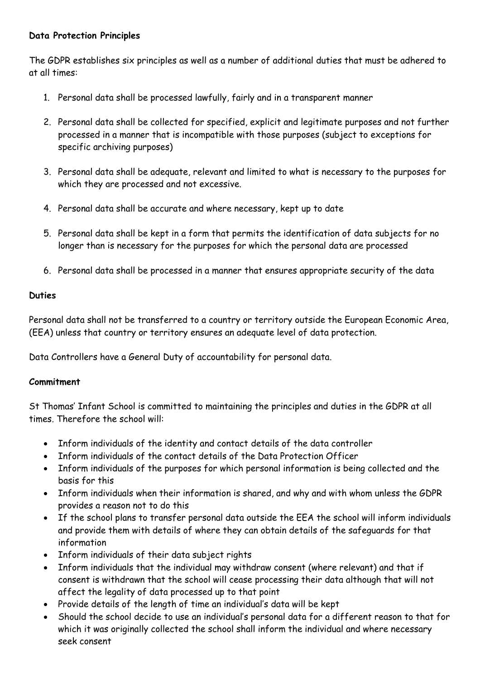#### **Data Protection Principles**

The GDPR establishes six principles as well as a number of additional duties that must be adhered to at all times:

- 1. Personal data shall be processed lawfully, fairly and in a transparent manner
- 2. Personal data shall be collected for specified, explicit and legitimate purposes and not further processed in a manner that is incompatible with those purposes (subject to exceptions for specific archiving purposes)
- 3. Personal data shall be adequate, relevant and limited to what is necessary to the purposes for which they are processed and not excessive.
- 4. Personal data shall be accurate and where necessary, kept up to date
- 5. Personal data shall be kept in a form that permits the identification of data subjects for no longer than is necessary for the purposes for which the personal data are processed
- 6. Personal data shall be processed in a manner that ensures appropriate security of the data

# **Duties**

Personal data shall not be transferred to a country or territory outside the European Economic Area, (EEA) unless that country or territory ensures an adequate level of data protection.

Data Controllers have a General Duty of accountability for personal data.

# **Commitment**

St Thomas' Infant School is committed to maintaining the principles and duties in the GDPR at all times. Therefore the school will:

- Inform individuals of the identity and contact details of the data controller
- Inform individuals of the contact details of the Data Protection Officer
- Inform individuals of the purposes for which personal information is being collected and the basis for this
- Inform individuals when their information is shared, and why and with whom unless the GDPR provides a reason not to do this
- If the school plans to transfer personal data outside the EEA the school will inform individuals and provide them with details of where they can obtain details of the safeguards for that information
- Inform individuals of their data subject rights
- Inform individuals that the individual may withdraw consent (where relevant) and that if consent is withdrawn that the school will cease processing their data although that will not affect the legality of data processed up to that point
- Provide details of the length of time an individual's data will be kept
- Should the school decide to use an individual's personal data for a different reason to that for which it was originally collected the school shall inform the individual and where necessary seek consent